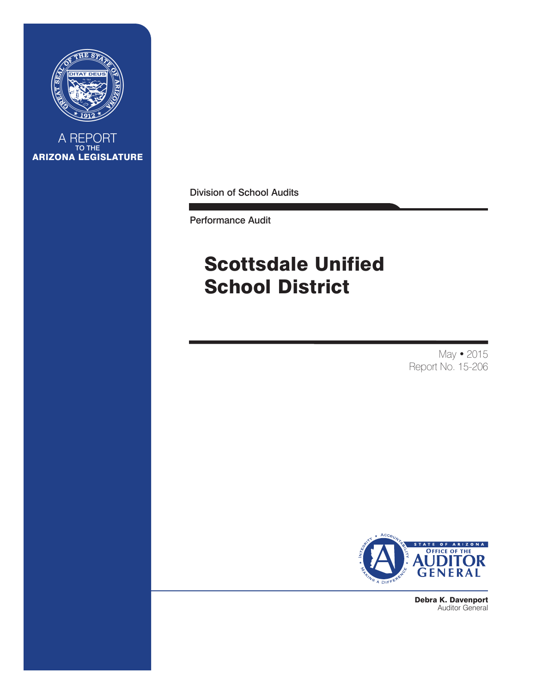

A REPORT TO THE ARIZONA LEGISLATURE

Division of School Audits

Performance Audit

# Scottsdale Unified School District

May • 2015 Report No. 15-206



Debra K. Davenport Auditor General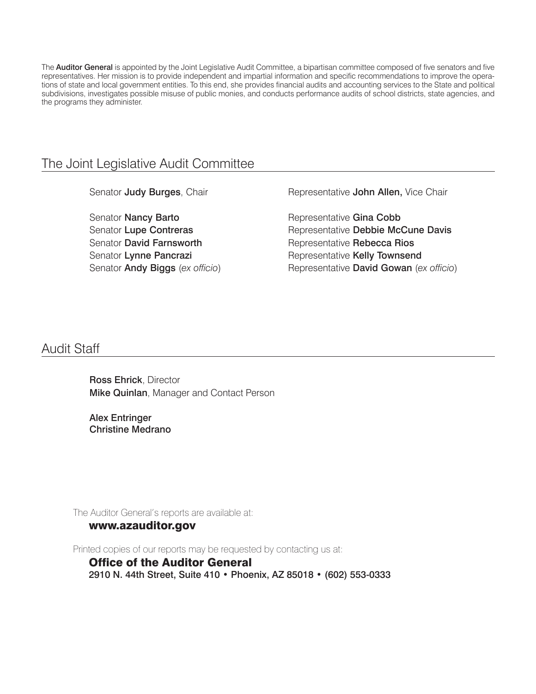The **Auditor General** is appointed by the Joint Legislative Audit Committee, a bipartisan committee composed of five senators and five representatives. Her mission is to provide independent and impartial information and specific recommendations to improve the operations of state and local government entities. To this end, she provides financial audits and accounting services to the State and political subdivisions, investigates possible misuse of public monies, and conducts performance audits of school districts, state agencies, and the programs they administer.

### The Joint Legislative Audit Committee

Senator Judy Burges, Chair

Senator Nancy Barto Senator Lupe Contreras Senator David Farnsworth Senator Lynne Pancrazi Senator Andy Biggs (*ex officio*) Representative John Allen, Vice Chair

Representative Gina Cobb Representative Debbie McCune Davis Representative Rebecca Rios Representative Kelly Townsend Representative David Gowan (*ex officio*)

### Audit Staff

Ross Ehrick, Director **Mike Quinlan, Manager and Contact Person** 

Alex Entringer Christine Medrano

The Auditor General's reports are available at:

#### www.azauditor.gov

Printed copies of our reports may be requested by contacting us at:

Office of the Auditor General 2910 N. 44th Street, Suite 410 • Phoenix, AZ 85018 • (602) 553-0333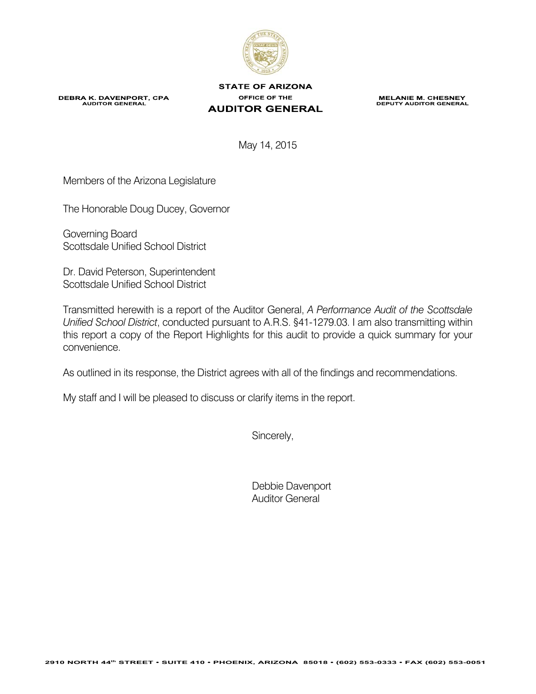

**DEBRA K. DAVENPORT, CPA**<br>AUDITOR GENERAL

**STATE OF ARIZONA** OFFICE OF THE **AUDITOR GENERAL** 

**MELANIE M. CHESNEY**<br>DEPUTY AUDITOR GENERAL

May 14, 2015

Members of the Arizona Legislature

The Honorable Doug Ducey, Governor

Governing Board Scottsdale Unified School District

Dr. David Peterson, Superintendent Scottsdale Unified School District

Transmitted herewith is a report of the Auditor General, *A Performance Audit of the Scottsdale Unified School District*, conducted pursuant to A.R.S. §41-1279.03. I am also transmitting within this report a copy of the Report Highlights for this audit to provide a quick summary for your convenience.

As outlined in its response, the District agrees with all of the findings and recommendations.

My staff and I will be pleased to discuss or clarify items in the report.

Sincerely,

 Debbie Davenport Auditor General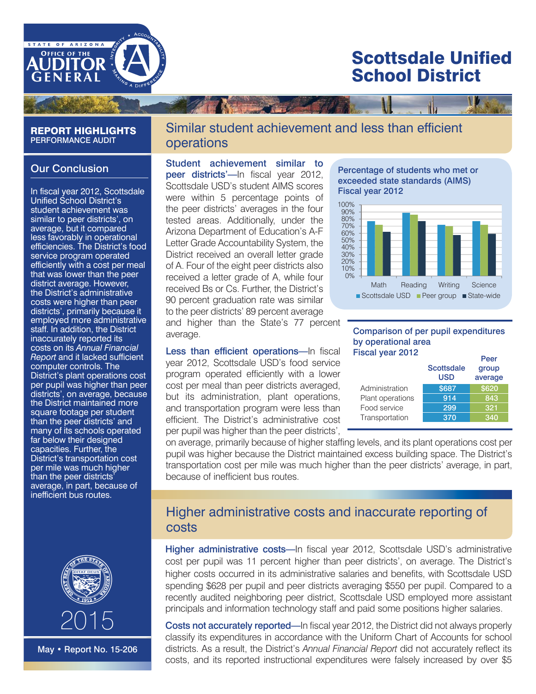

# Scottsdale Unified School District

#### REPORT HIGHLIGHTS PERFORMANCE AUDIT

#### Our Conclusion

In fiscal year 2012, Scottsdale Unified School District's student achievement was similar to peer districts', on average, but it compared less favorably in operational efficiencies. The District's food service program operated efficiently with a cost per meal that was lower than the peer district average. However, the District's administrative costs were higher than peer districts', primarily because it employed more administrative staff. In addition, the District inaccurately reported its costs on its *Annual Financial Report* and it lacked sufficient computer controls. The District's plant operations cost per pupil was higher than peer districts', on average, because the District maintained more square footage per student than the peer districts' and many of its schools operated far below their designed capacities. Further, the District's transportation cost per mile was much higher than the peer districts' average, in part, because of inefficient bus routes.



May • Report No. 15-206

### Similar student achievement and less than efficient operations

Student achievement similar to peer districts'—In fiscal year 2012. Scottsdale USD's student AIMS scores were within 5 percentage points of the peer districts' averages in the four tested areas. Additionally, under the Arizona Department of Education's A-F Letter Grade Accountability System, the District received an overall letter grade of A. Four of the eight peer districts also received a letter grade of A, while four received Bs or Cs. Further, the District's 90 percent graduation rate was similar to the peer districts' 89 percent average

and higher than the State's 77 percent average.

Less than efficient operations—In fiscal year 2012, Scottsdale USD's food service program operated efficiently with a lower cost per meal than peer districts averaged, but its administration, plant operations, and transportation program were less than efficient. The District's administrative cost per pupil was higher than the peer districts',

#### Percentage of students who met or exceeded state standards (AIMS) Fiscal year 2012



#### Comparison of per pupil expenditures by operational area Fiscal year 2012

|                  |                                 | Peer             |
|------------------|---------------------------------|------------------|
|                  | <b>Scottsdale</b><br><b>USD</b> | group<br>average |
| Administration   | \$687                           | \$620            |
| Plant operations | 914                             | 843              |
| Food service     | 299                             | 321              |
| Transportation   | 370                             | 340              |

on average, primarily because of higher staffing levels, and its plant operations cost per pupil was higher because the District maintained excess building space. The District's transportation cost per mile was much higher than the peer districts' average, in part, because of inefficient bus routes.

### Higher administrative costs and inaccurate reporting of costs

Higher administrative costs-In fiscal year 2012, Scottsdale USD's administrative cost per pupil was 11 percent higher than peer districts', on average. The District's higher costs occurred in its administrative salaries and benefits, with Scottsdale USD spending \$628 per pupil and peer districts averaging \$550 per pupil. Compared to a recently audited neighboring peer district, Scottsdale USD employed more assistant principals and information technology staff and paid some positions higher salaries.

Costs not accurately reported—In fiscal year 2012, the District did not always properly classify its expenditures in accordance with the Uniform Chart of Accounts for school districts. As a result, the District's *Annual Financial Report* did not accurately reflect its costs, and its reported instructional expenditures were falsely increased by over \$5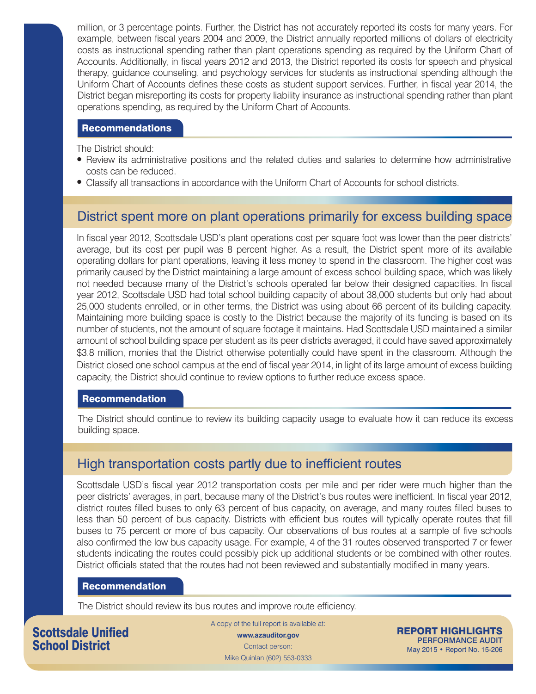million, or 3 percentage points. Further, the District has not accurately reported its costs for many years. For example, between fiscal years 2004 and 2009, the District annually reported millions of dollars of electricity costs as instructional spending rather than plant operations spending as required by the Uniform Chart of Accounts. Additionally, in fiscal years 2012 and 2013, the District reported its costs for speech and physical therapy, guidance counseling, and psychology services for students as instructional spending although the Uniform Chart of Accounts defines these costs as student support services. Further, in fiscal year 2014, the District began misreporting its costs for property liability insurance as instructional spending rather than plant operations spending, as required by the Uniform Chart of Accounts.

#### Recommendations

The District should:

- Review its administrative positions and the related duties and salaries to determine how administrative costs can be reduced.
- Classify all transactions in accordance with the Uniform Chart of Accounts for school districts.

### District spent more on plant operations primarily for excess building space

In fiscal year 2012, Scottsdale USD's plant operations cost per square foot was lower than the peer districts' average, but its cost per pupil was 8 percent higher. As a result, the District spent more of its available operating dollars for plant operations, leaving it less money to spend in the classroom. The higher cost was primarily caused by the District maintaining a large amount of excess school building space, which was likely not needed because many of the District's schools operated far below their designed capacities. In fiscal year 2012, Scottsdale USD had total school building capacity of about 38,000 students but only had about 25,000 students enrolled, or in other terms, the District was using about 66 percent of its building capacity. Maintaining more building space is costly to the District because the majority of its funding is based on its number of students, not the amount of square footage it maintains. Had Scottsdale USD maintained a similar amount of school building space per student as its peer districts averaged, it could have saved approximately \$3.8 million, monies that the District otherwise potentially could have spent in the classroom. Although the District closed one school campus at the end of fiscal year 2014, in light of its large amount of excess building capacity, the District should continue to review options to further reduce excess space.

#### Recommendation

The District should continue to review its building capacity usage to evaluate how it can reduce its excess building space.

### High transportation costs partly due to inefficient routes

Scottsdale USD's fiscal year 2012 transportation costs per mile and per rider were much higher than the peer districts' averages, in part, because many of the District's bus routes were inefficient. In fiscal year 2012, district routes filled buses to only 63 percent of bus capacity, on average, and many routes filled buses to less than 50 percent of bus capacity. Districts with efficient bus routes will typically operate routes that fill buses to 75 percent or more of bus capacity. Our observations of bus routes at a sample of five schools also confirmed the low bus capacity usage. For example, 4 of the 31 routes observed transported 7 or fewer students indicating the routes could possibly pick up additional students or be combined with other routes. District officials stated that the routes had not been reviewed and substantially modified in many years.

#### Recommendation

The District should review its bus routes and improve route efficiency.

Scottsdale Unified School District

A copy of the full report is available at: **www.azauditor.gov** Contact person:

Mike Quinlan (602) 553-0333

REPORT HIGHLIGHTS PERFORMANCE AUDIT May 2015 • Report No. 15-206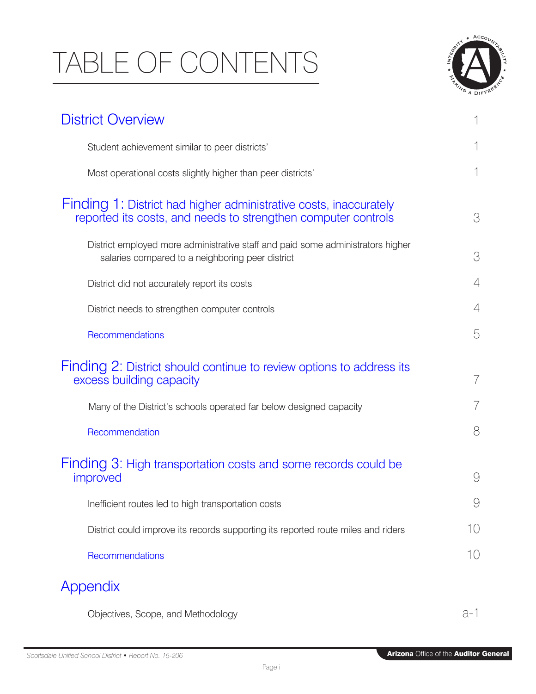# TABLE OF CONTENTS



| <b>District Overview</b>                                                                                                            |     |
|-------------------------------------------------------------------------------------------------------------------------------------|-----|
| Student achievement similar to peer districts'                                                                                      |     |
| Most operational costs slightly higher than peer districts'                                                                         |     |
| Finding 1: District had higher administrative costs, inaccurately<br>reported its costs, and needs to strengthen computer controls  | 3   |
| District employed more administrative staff and paid some administrators higher<br>salaries compared to a neighboring peer district | 3   |
| District did not accurately report its costs                                                                                        | 4   |
| District needs to strengthen computer controls                                                                                      | 4   |
| Recommendations                                                                                                                     | 5   |
| Finding 2: District should continue to review options to address its<br>excess building capacity                                    | 7   |
| Many of the District's schools operated far below designed capacity                                                                 |     |
| Recommendation                                                                                                                      | 8   |
| Finding 3: High transportation costs and some records could be<br>improved                                                          | 9   |
| Inefficient routes led to high transportation costs                                                                                 | 9   |
| District could improve its records supporting its reported route miles and riders                                                   | 10  |
| Recommendations                                                                                                                     | 10  |
| Appendix                                                                                                                            |     |
| Objectives, Scope, and Methodology                                                                                                  | a-1 |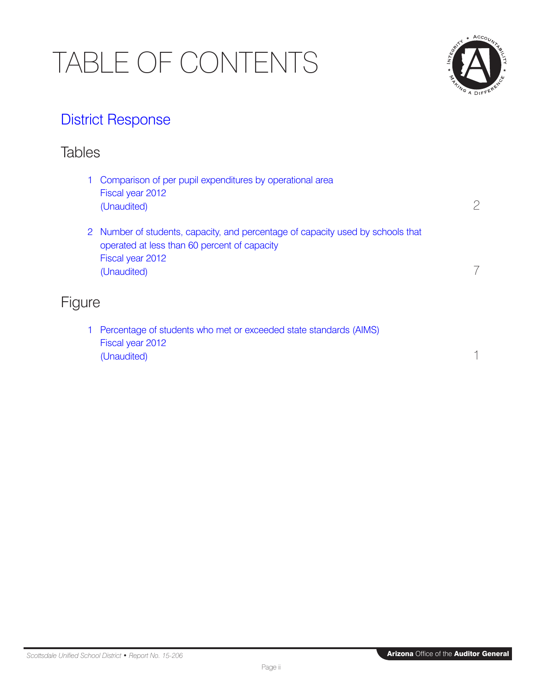# TABLE OF CONTENTS



# [District Response](#page-21-0)

## **Tables**

|               | 1 Comparison of per pupil expenditures by operational area<br>Fiscal year 2012<br>(Unaudited)                                                                      |  |
|---------------|--------------------------------------------------------------------------------------------------------------------------------------------------------------------|--|
|               | 2 Number of students, capacity, and percentage of capacity used by schools that<br>operated at less than 60 percent of capacity<br>Fiscal year 2012<br>(Unaudited) |  |
| <b>Figure</b> |                                                                                                                                                                    |  |

[1 Percentage of students who met or exceeded state standards \(AIMS\)](#page-7-0) Fiscal year 2012 (Unaudited) 1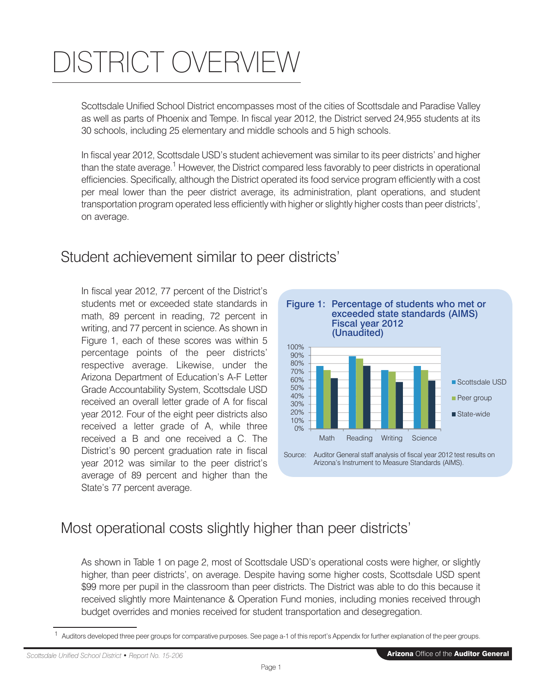# <span id="page-7-0"></span>DISTRICT OVERVIEW

Scottsdale Unified School District encompasses most of the cities of Scottsdale and Paradise Valley as well as parts of Phoenix and Tempe. In fiscal year 2012, the District served 24,955 students at its 30 schools, including 25 elementary and middle schools and 5 high schools.

In fiscal year 2012, Scottsdale USD's student achievement was similar to its peer districts' and higher than the state average.<sup>1</sup> However, the District compared less favorably to peer districts in operational efficiencies. Specifically, although the District operated its food service program efficiently with a cost per meal lower than the peer district average, its administration, plant operations, and student transportation program operated less efficiently with higher or slightly higher costs than peer districts', on average.

## Student achievement similar to peer districts'

In fiscal year 2012, 77 percent of the District's students met or exceeded state standards in math, 89 percent in reading, 72 percent in writing, and 77 percent in science. As shown in Figure 1, each of these scores was within 5 percentage points of the peer districts' respective average. Likewise, under the Arizona Department of Education's A-F Letter Grade Accountability System, Scottsdale USD received an overall letter grade of A for fiscal year 2012. Four of the eight peer districts also received a letter grade of A, while three received a B and one received a C. The District's 90 percent graduation rate in fiscal year 2012 was similar to the peer district's average of 89 percent and higher than the State's 77 percent average.



Arizona's Instrument to Measure Standards (AIMS).

# Most operational costs slightly higher than peer districts'

As shown in Table 1 on page 2, most of Scottsdale USD's operational costs were higher, or slightly higher, than peer districts', on average. Despite having some higher costs, Scottsdale USD spent \$99 more per pupil in the classroom than peer districts. The District was able to do this because it received slightly more Maintenance & Operation Fund monies, including monies received through budget overrides and monies received for student transportation and desegregation.

<sup>&</sup>lt;sup>1</sup> Auditors developed three peer groups for comparative purposes. See page a-1 of this report's Appendix for further explanation of the peer groups.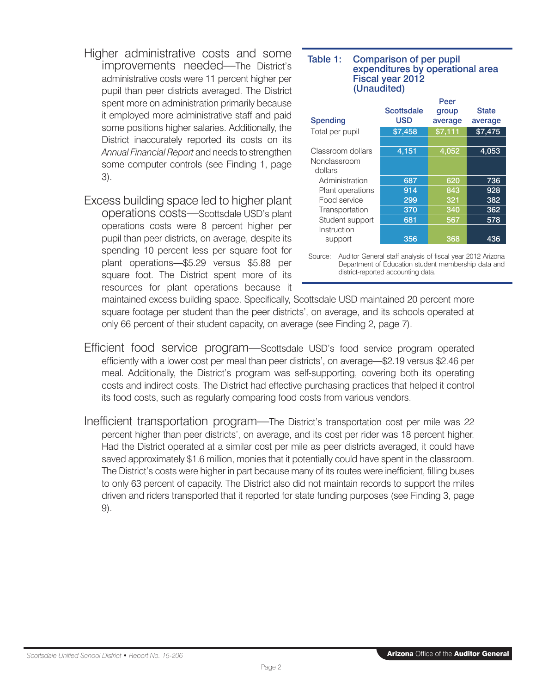- <span id="page-8-0"></span>Higher administrative costs and some improvements needed—The District's administrative costs were 11 percent higher per pupil than peer districts averaged. The District spent more on administration primarily because it employed more administrative staff and paid some positions higher salaries. Additionally, the District inaccurately reported its costs on its *Annual Financial Report* and needs to strengthen some computer controls (see Finding 1, page 3).
- Excess building space led to higher plant operations costs—Scottsdale USD's plant operations costs were 8 percent higher per pupil than peer districts, on average, despite its spending 10 percent less per square foot for plant operations—\$5.29 versus \$5.88 per square foot. The District spent more of its resources for plant operations because it

#### Table 1: e 1. Comparison of per pupir<br>expenditures by operational area Comparison of per pupil Fiscal year 2012 (Unaudited)

|                   |            | Peer    |              |
|-------------------|------------|---------|--------------|
|                   | Scottsdale | group   | <b>State</b> |
| Spending          | <b>USD</b> | average | average      |
| Total per pupil   | \$7,458    | \$7,111 | \$7,475      |
|                   |            |         |              |
| Classroom dollars | 4,151      | 4,052   | 4,053        |
| Nonclassroom      |            |         |              |
| dollars           |            |         |              |
| Administration    | 687        | 620     | 736          |
| Plant operations  | 914        | 843     | 928          |
| Food service      | 299        | 321     | 382          |
| Transportation    | 370        | 340     | 362          |
| Student support   | 681        | 567     | 578          |
| Instruction       |            |         |              |
| support           | 356        | 368     | 436          |
|                   |            |         |              |

Source: Auditor General staff analysis of fiscal year 2012 Arizona Department of Education student membership data and district-reported accounting data.

maintained excess building space. Specifically, Scottsdale USD maintained 20 percent more square footage per student than the peer districts', on average, and its schools operated at only 66 percent of their student capacity, on average (see Finding 2, page 7).

- Efficient food service program—Scottsdale USD's food service program operated efficiently with a lower cost per meal than peer districts', on average—\$2.19 versus \$2.46 per meal. Additionally, the District's program was self-supporting, covering both its operating costs and indirect costs. The District had effective purchasing practices that helped it control its food costs, such as regularly comparing food costs from various vendors.
- Inefficient transportation program—The District's transportation cost per mile was 22 percent higher than peer districts', on average, and its cost per rider was 18 percent higher. Had the District operated at a similar cost per mile as peer districts averaged, it could have saved approximately \$1.6 million, monies that it potentially could have spent in the classroom. The District's costs were higher in part because many of its routes were inefficient, filling buses to only 63 percent of capacity. The District also did not maintain records to support the miles driven and riders transported that it reported for state funding purposes (see Finding 3, page 9).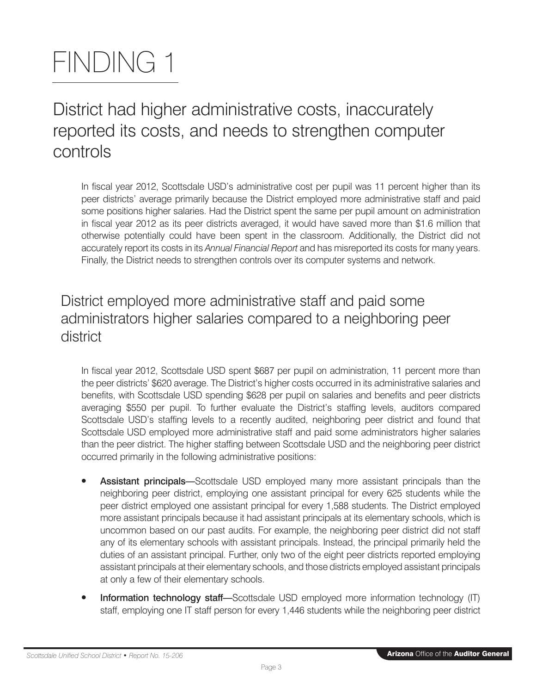# <span id="page-9-0"></span>FINDING 1

# District had higher administrative costs, inaccurately reported its costs, and needs to strengthen computer controls

In fiscal year 2012, Scottsdale USD's administrative cost per pupil was 11 percent higher than its peer districts' average primarily because the District employed more administrative staff and paid some positions higher salaries. Had the District spent the same per pupil amount on administration in fiscal year 2012 as its peer districts averaged, it would have saved more than \$1.6 million that otherwise potentially could have been spent in the classroom. Additionally, the District did not accurately report its costs in its *Annual Financial Report* and has misreported its costs for many years. Finally, the District needs to strengthen controls over its computer systems and network.

# District employed more administrative staff and paid some administrators higher salaries compared to a neighboring peer district

In fiscal year 2012, Scottsdale USD spent \$687 per pupil on administration, 11 percent more than the peer districts' \$620 average. The District's higher costs occurred in its administrative salaries and benefits, with Scottsdale USD spending \$628 per pupil on salaries and benefits and peer districts averaging \$550 per pupil. To further evaluate the District's staffing levels, auditors compared Scottsdale USD's staffing levels to a recently audited, neighboring peer district and found that Scottsdale USD employed more administrative staff and paid some administrators higher salaries than the peer district. The higher staffing between Scottsdale USD and the neighboring peer district occurred primarily in the following administrative positions:

- Assistant principals—Scottsdale USD employed many more assistant principals than the neighboring peer district, employing one assistant principal for every 625 students while the peer district employed one assistant principal for every 1,588 students. The District employed more assistant principals because it had assistant principals at its elementary schools, which is uncommon based on our past audits. For example, the neighboring peer district did not staff any of its elementary schools with assistant principals. Instead, the principal primarily held the duties of an assistant principal. Further, only two of the eight peer districts reported employing assistant principals at their elementary schools, and those districts employed assistant principals at only a few of their elementary schools.
- Information technology staff-Scottsdale USD employed more information technology (IT) staff, employing one IT staff person for every 1,446 students while the neighboring peer district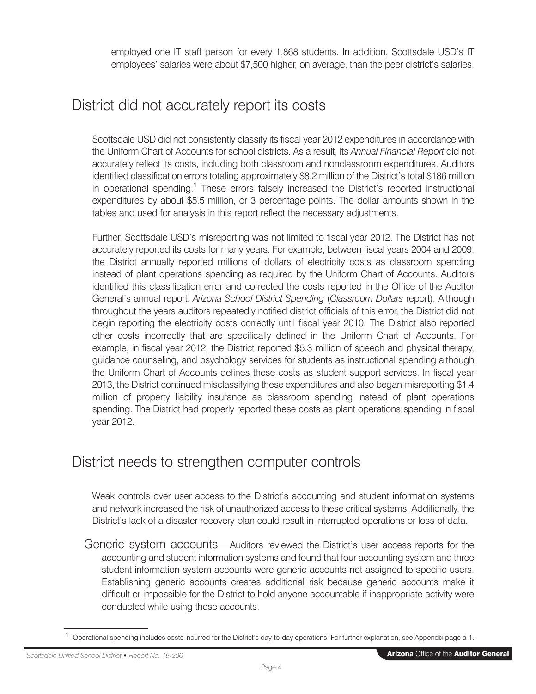employed one IT staff person for every 1,868 students. In addition, Scottsdale USD's IT employees' salaries were about \$7,500 higher, on average, than the peer district's salaries.

# District did not accurately report its costs

Scottsdale USD did not consistently classify its fiscal year 2012 expenditures in accordance with the Uniform Chart of Accounts for school districts. As a result, its *Annual Financial Report* did not accurately reflect its costs, including both classroom and nonclassroom expenditures. Auditors identified classification errors totaling approximately \$8.2 million of the District's total \$186 million in operational spending.<sup>1</sup> These errors falsely increased the District's reported instructional expenditures by about \$5.5 million, or 3 percentage points. The dollar amounts shown in the tables and used for analysis in this report reflect the necessary adjustments.

Further, Scottsdale USD's misreporting was not limited to fiscal year 2012. The District has not accurately reported its costs for many years. For example, between fiscal years 2004 and 2009, the District annually reported millions of dollars of electricity costs as classroom spending instead of plant operations spending as required by the Uniform Chart of Accounts. Auditors identified this classification error and corrected the costs reported in the Office of the Auditor General's annual report, *Arizona School District Spending* (*Classroom Dollars* report). Although throughout the years auditors repeatedly notified district officials of this error, the District did not begin reporting the electricity costs correctly until fiscal year 2010. The District also reported other costs incorrectly that are specifically defined in the Uniform Chart of Accounts. For example, in fiscal year 2012, the District reported \$5.3 million of speech and physical therapy, guidance counseling, and psychology services for students as instructional spending although the Uniform Chart of Accounts defines these costs as student support services. In fiscal year 2013, the District continued misclassifying these expenditures and also began misreporting \$1.4 million of property liability insurance as classroom spending instead of plant operations spending. The District had properly reported these costs as plant operations spending in fiscal year 2012.

## District needs to strengthen computer controls

Weak controls over user access to the District's accounting and student information systems and network increased the risk of unauthorized access to these critical systems. Additionally, the District's lack of a disaster recovery plan could result in interrupted operations or loss of data.

Generic system accounts—Auditors reviewed the District's user access reports for the accounting and student information systems and found that four accounting system and three student information system accounts were generic accounts not assigned to specific users. Establishing generic accounts creates additional risk because generic accounts make it difficult or impossible for the District to hold anyone accountable if inappropriate activity were conducted while using these accounts.

<sup>&</sup>lt;sup>1</sup> Operational spending includes costs incurred for the District's day-to-day operations. For further explanation, see Appendix page a-1.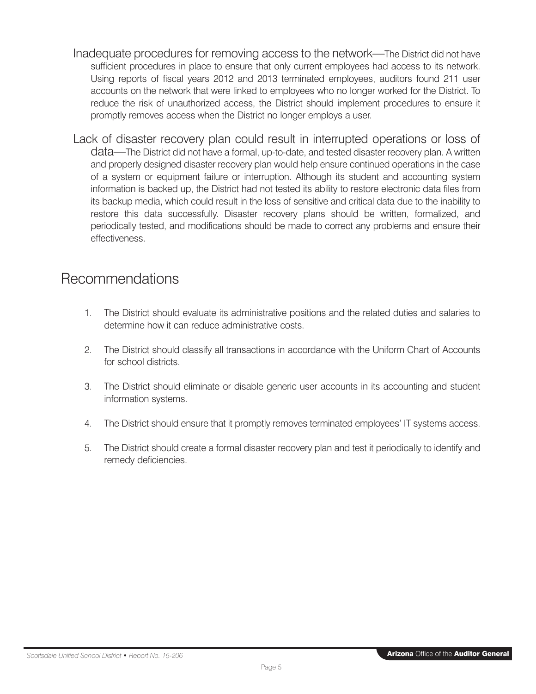- <span id="page-11-0"></span>Inadequate procedures for removing access to the network—The District did not have sufficient procedures in place to ensure that only current employees had access to its network. Using reports of fiscal years 2012 and 2013 terminated employees, auditors found 211 user accounts on the network that were linked to employees who no longer worked for the District. To reduce the risk of unauthorized access, the District should implement procedures to ensure it promptly removes access when the District no longer employs a user.
- Lack of disaster recovery plan could result in interrupted operations or loss of data—The District did not have a formal, up-to-date, and tested disaster recovery plan. A written and properly designed disaster recovery plan would help ensure continued operations in the case of a system or equipment failure or interruption. Although its student and accounting system information is backed up, the District had not tested its ability to restore electronic data files from its backup media, which could result in the loss of sensitive and critical data due to the inability to restore this data successfully. Disaster recovery plans should be written, formalized, and periodically tested, and modifications should be made to correct any problems and ensure their effectiveness.

## Recommendations

- 1. The District should evaluate its administrative positions and the related duties and salaries to determine how it can reduce administrative costs.
- 2. The District should classify all transactions in accordance with the Uniform Chart of Accounts for school districts.
- 3. The District should eliminate or disable generic user accounts in its accounting and student information systems.
- 4. The District should ensure that it promptly removes terminated employees' IT systems access.
- 5. The District should create a formal disaster recovery plan and test it periodically to identify and remedy deficiencies.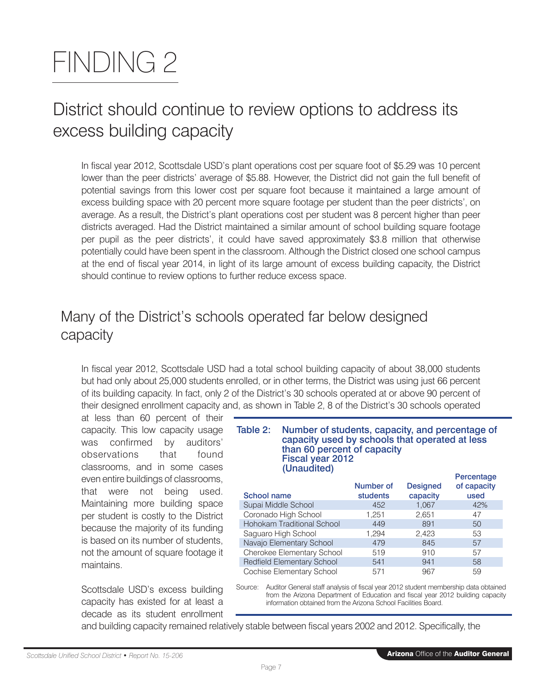# <span id="page-13-0"></span>FINDING 2

# District should continue to review options to address its excess building capacity

In fiscal year 2012, Scottsdale USD's plant operations cost per square foot of \$5.29 was 10 percent lower than the peer districts' average of \$5.88. However, the District did not gain the full benefit of potential savings from this lower cost per square foot because it maintained a large amount of excess building space with 20 percent more square footage per student than the peer districts', on average. As a result, the District's plant operations cost per student was 8 percent higher than peer districts averaged. Had the District maintained a similar amount of school building square footage per pupil as the peer districts', it could have saved approximately \$3.8 million that otherwise potentially could have been spent in the classroom. Although the District closed one school campus at the end of fiscal year 2014, in light of its large amount of excess building capacity, the District should continue to review options to further reduce excess space.

# Many of the District's schools operated far below designed capacity

In fiscal year 2012, Scottsdale USD had a total school building capacity of about 38,000 students but had only about 25,000 students enrolled, or in other terms, the District was using just 66 percent of its building capacity. In fact, only 2 of the District's 30 schools operated at or above 90 percent of their designed enrollment capacity and, as shown in Table 2, 8 of the District's 30 schools operated

at less than 60 percent of their capacity. This low capacity usage was confirmed by auditors' observations that found classrooms, and in some cases even entire buildings of classrooms, that were not being used. Maintaining more building space per student is costly to the District because the majority of its funding is based on its number of students, not the amount of square footage it maintains.

Scottsdale USD's excess building capacity has existed for at least a decade as its student enrollment

#### Table 2: Number of students, capacity, and percentage of capacity used by schools that operated at less than 60 percent of capacity Fiscal year 2012 (Unaudited) **Percentage**

|                                   | <b>Number of</b> | <b>Designed</b> | , oroomago<br>of capacity |
|-----------------------------------|------------------|-----------------|---------------------------|
| School name                       | <b>students</b>  | capacity        | used                      |
| Supai Middle School               | 452              | 1.067           | 42%                       |
| Coronado High School              | 1.251            | 2.651           | 47                        |
| Hohokam Traditional School        | 449              | 891             | 50                        |
| Saguaro High School               | 1.294            | 2,423           | 53                        |
| Navajo Elementary School          | 479              | 845             | 57                        |
| Cherokee Elementary School        | 519              | 910             | 57                        |
| <b>Redfield Elementary School</b> | 541              | 941             | 58                        |
| Cochise Elementary School         | 571              | 967             | 59                        |

Source: Auditor General staff analysis of fiscal year 2012 student membership data obtained from the Arizona Department of Education and fiscal year 2012 building capacity information obtained from the Arizona School Facilities Board.

and building capacity remained relatively stable between fiscal years 2002 and 2012. Specifically, the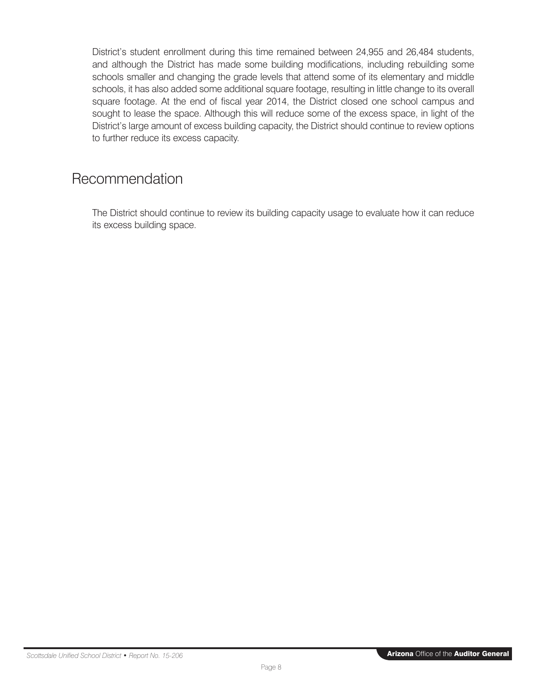<span id="page-14-0"></span>District's student enrollment during this time remained between 24,955 and 26,484 students, and although the District has made some building modifications, including rebuilding some schools smaller and changing the grade levels that attend some of its elementary and middle schools, it has also added some additional square footage, resulting in little change to its overall square footage. At the end of fiscal year 2014, the District closed one school campus and sought to lease the space. Although this will reduce some of the excess space, in light of the District's large amount of excess building capacity, the District should continue to review options to further reduce its excess capacity.

## Recommendation

The District should continue to review its building capacity usage to evaluate how it can reduce its excess building space.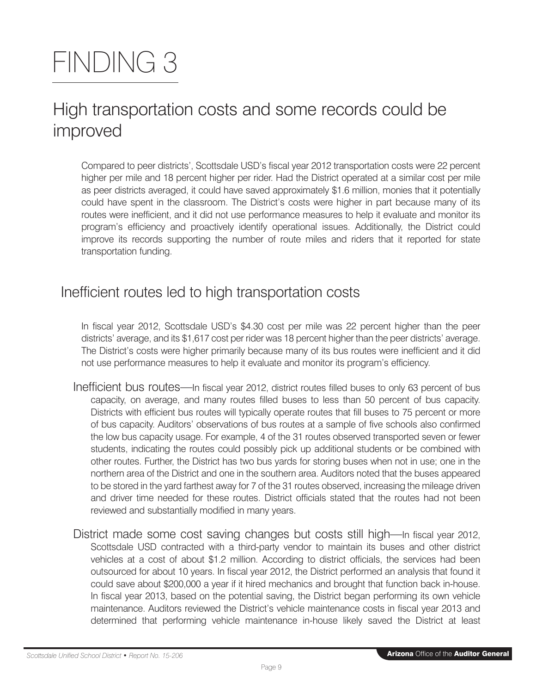# <span id="page-15-0"></span>FINDING 3

# High transportation costs and some records could be improved

Compared to peer districts', Scottsdale USD's fiscal year 2012 transportation costs were 22 percent higher per mile and 18 percent higher per rider. Had the District operated at a similar cost per mile as peer districts averaged, it could have saved approximately \$1.6 million, monies that it potentially could have spent in the classroom. The District's costs were higher in part because many of its routes were inefficient, and it did not use performance measures to help it evaluate and monitor its program's efficiency and proactively identify operational issues. Additionally, the District could improve its records supporting the number of route miles and riders that it reported for state transportation funding.

## Inefficient routes led to high transportation costs

In fiscal year 2012, Scottsdale USD's \$4.30 cost per mile was 22 percent higher than the peer districts' average, and its \$1,617 cost per rider was 18 percent higher than the peer districts' average. The District's costs were higher primarily because many of its bus routes were inefficient and it did not use performance measures to help it evaluate and monitor its program's efficiency.

- Inefficient bus routes—In fiscal year 2012, district routes filled buses to only 63 percent of bus capacity, on average, and many routes filled buses to less than 50 percent of bus capacity. Districts with efficient bus routes will typically operate routes that fill buses to 75 percent or more of bus capacity. Auditors' observations of bus routes at a sample of five schools also confirmed the low bus capacity usage. For example, 4 of the 31 routes observed transported seven or fewer students, indicating the routes could possibly pick up additional students or be combined with other routes. Further, the District has two bus yards for storing buses when not in use; one in the northern area of the District and one in the southern area. Auditors noted that the buses appeared to be stored in the yard farthest away for 7 of the 31 routes observed, increasing the mileage driven and driver time needed for these routes. District officials stated that the routes had not been reviewed and substantially modified in many years.
- District made some cost saving changes but costs still high—In fiscal year 2012, Scottsdale USD contracted with a third-party vendor to maintain its buses and other district vehicles at a cost of about \$1.2 million. According to district officials, the services had been outsourced for about 10 years. In fiscal year 2012, the District performed an analysis that found it could save about \$200,000 a year if it hired mechanics and brought that function back in-house. In fiscal year 2013, based on the potential saving, the District began performing its own vehicle maintenance. Auditors reviewed the District's vehicle maintenance costs in fiscal year 2013 and determined that performing vehicle maintenance in-house likely saved the District at least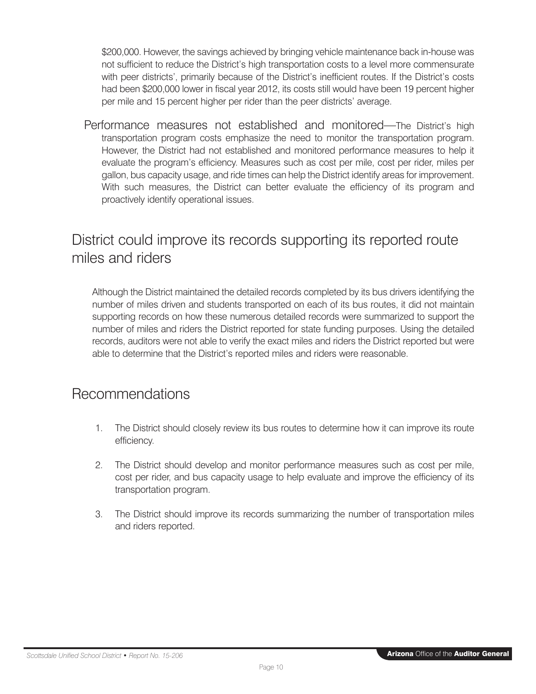<span id="page-16-0"></span>\$200,000. However, the savings achieved by bringing vehicle maintenance back in-house was not sufficient to reduce the District's high transportation costs to a level more commensurate with peer districts', primarily because of the District's inefficient routes. If the District's costs had been \$200,000 lower in fiscal year 2012, its costs still would have been 19 percent higher per mile and 15 percent higher per rider than the peer districts' average.

Performance measures not established and monitored—The District's high transportation program costs emphasize the need to monitor the transportation program. However, the District had not established and monitored performance measures to help it evaluate the program's efficiency. Measures such as cost per mile, cost per rider, miles per gallon, bus capacity usage, and ride times can help the District identify areas for improvement. With such measures, the District can better evaluate the efficiency of its program and proactively identify operational issues.

# District could improve its records supporting its reported route miles and riders

Although the District maintained the detailed records completed by its bus drivers identifying the number of miles driven and students transported on each of its bus routes, it did not maintain supporting records on how these numerous detailed records were summarized to support the number of miles and riders the District reported for state funding purposes. Using the detailed records, auditors were not able to verify the exact miles and riders the District reported but were able to determine that the District's reported miles and riders were reasonable.

## Recommendations

- 1. The District should closely review its bus routes to determine how it can improve its route efficiency.
- 2. The District should develop and monitor performance measures such as cost per mile, cost per rider, and bus capacity usage to help evaluate and improve the efficiency of its transportation program.
- 3. The District should improve its records summarizing the number of transportation miles and riders reported.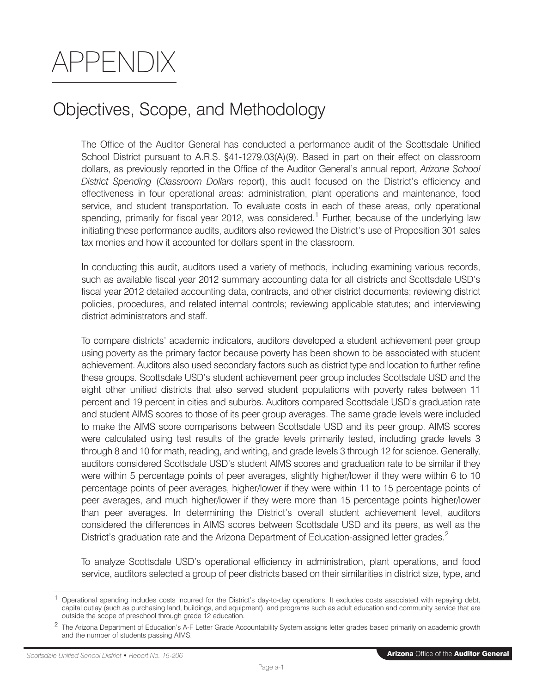# <span id="page-17-0"></span>APPENDIX

# Objectives, Scope, and Methodology

The Office of the Auditor General has conducted a performance audit of the Scottsdale Unified School District pursuant to A.R.S. §41-1279.03(A)(9). Based in part on their effect on classroom dollars, as previously reported in the Office of the Auditor General's annual report, *Arizona School District Spending* (*Classroom Dollars* report), this audit focused on the District's efficiency and effectiveness in four operational areas: administration, plant operations and maintenance, food service, and student transportation. To evaluate costs in each of these areas, only operational spending, primarily for fiscal year 2012, was considered.<sup>1</sup> Further, because of the underlying law initiating these performance audits, auditors also reviewed the District's use of Proposition 301 sales tax monies and how it accounted for dollars spent in the classroom.

In conducting this audit, auditors used a variety of methods, including examining various records, such as available fiscal year 2012 summary accounting data for all districts and Scottsdale USD's fiscal year 2012 detailed accounting data, contracts, and other district documents; reviewing district policies, procedures, and related internal controls; reviewing applicable statutes; and interviewing district administrators and staff.

To compare districts' academic indicators, auditors developed a student achievement peer group using poverty as the primary factor because poverty has been shown to be associated with student achievement. Auditors also used secondary factors such as district type and location to further refine these groups. Scottsdale USD's student achievement peer group includes Scottsdale USD and the eight other unified districts that also served student populations with poverty rates between 11 percent and 19 percent in cities and suburbs. Auditors compared Scottsdale USD's graduation rate and student AIMS scores to those of its peer group averages. The same grade levels were included to make the AIMS score comparisons between Scottsdale USD and its peer group. AIMS scores were calculated using test results of the grade levels primarily tested, including grade levels 3 through 8 and 10 for math, reading, and writing, and grade levels 3 through 12 for science. Generally, auditors considered Scottsdale USD's student AIMS scores and graduation rate to be similar if they were within 5 percentage points of peer averages, slightly higher/lower if they were within 6 to 10 percentage points of peer averages, higher/lower if they were within 11 to 15 percentage points of peer averages, and much higher/lower if they were more than 15 percentage points higher/lower than peer averages. In determining the District's overall student achievement level, auditors considered the differences in AIMS scores between Scottsdale USD and its peers, as well as the District's graduation rate and the Arizona Department of Education-assigned letter grades.<sup>2</sup>

To analyze Scottsdale USD's operational efficiency in administration, plant operations, and food service, auditors selected a group of peer districts based on their similarities in district size, type, and

<sup>1</sup> Operational spending includes costs incurred for the District's day-to-day operations. It excludes costs associated with repaying debt, capital outlay (such as purchasing land, buildings, and equipment), and programs such as adult education and community service that are outside the scope of preschool through grade 12 education.

<sup>&</sup>lt;sup>2</sup> The Arizona Department of Education's A-F Letter Grade Accountability System assigns letter grades based primarily on academic growth and the number of students passing AIMS.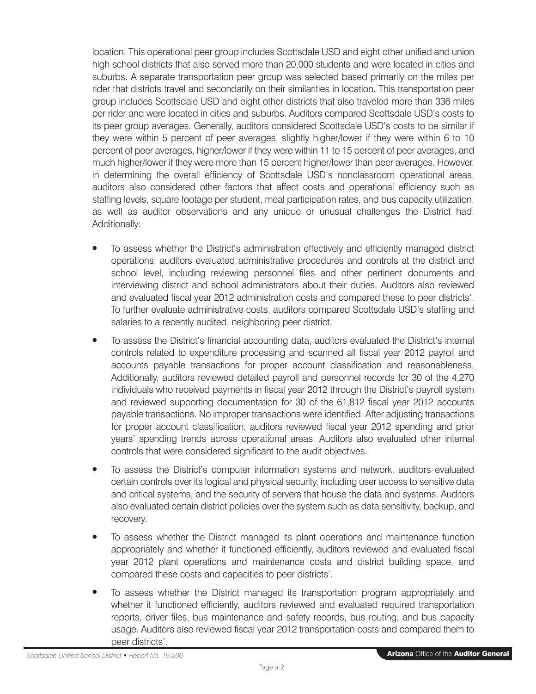location. This operational peer group includes Scottsdale USD and eight other unified and union high school districts that also served more than 20,000 students and were located in cities and suburbs. A separate transportation peer group was selected based primarily on the miles per rider that districts travel and secondarily on their similarities in location. This transportation peer group includes Scottsdale USD and eight other districts that also traveled more than 336 miles per rider and were located in cities and suburbs. Auditors compared Scottsdale USD's costs to its peer group averages. Generally, auditors considered Scottsdale USD's costs to be similar if they were within 5 percent of peer averages, slightly higher/lower if they were within 6 to 10 percent of peer averages, higher/lower if they were within 11 to 15 percent of peer averages, and much higher/lower if they were more than 15 percent higher/lower than peer averages. However, in determining the overall efficiency of Scottsdale USD's nonclassroom operational areas, auditors also considered other factors that affect costs and operational efficiency such as staffing levels, square footage per student, meal participation rates, and bus capacity utilization, as well as auditor observations and any unique or unusual challenges the District had. Additionally:

- To assess whether the District's administration effectively and efficiently managed district operations, auditors evaluated administrative procedures and controls at the district and school level, including reviewing personnel files and other pertinent documents and interviewing district and school administrators about their duties. Auditors also reviewed and evaluated fiscal year 2012 administration costs and compared these to peer districts'. To further evaluate administrative costs, auditors compared Scottsdale USD's staffing and salaries to a recently audited, neighboring peer district.
- To assess the District's financial accounting data, auditors evaluated the District's internal controls related to expenditure processing and scanned all fiscal year 2012 payroll and accounts payable transactions for proper account classification and reasonableness. Additionally, auditors reviewed detailed payroll and personnel records for 30 of the 4,270 individuals who received payments in fiscal year 2012 through the District's payroll system and reviewed supporting documentation for 30 of the 61,812 fiscal year 2012 accounts payable transactions. No improper transactions were identified. After adjusting transactions for proper account classification, auditors reviewed fiscal year 2012 spending and prior years' spending trends across operational areas. Auditors also evaluated other internal controls that were considered significant to the audit objectives.
- To assess the District's computer information systems and network, auditors evaluated certain controls over its logical and physical security, including user access to sensitive data and critical systems, and the security of servers that house the data and systems. Auditors also evaluated certain district policies over the system such as data sensitivity, backup, and recovery.
- To assess whether the District managed its plant operations and maintenance function appropriately and whether it functioned efficiently, auditors reviewed and evaluated fiscal year 2012 plant operations and maintenance costs and district building space, and compared these costs and capacities to peer districts'.
- To assess whether the District managed its transportation program appropriately and whether it functioned efficiently, auditors reviewed and evaluated required transportation reports, driver files, bus maintenance and safety records, bus routing, and bus capacity usage. Auditors also reviewed fiscal year 2012 transportation costs and compared them to peer districts'.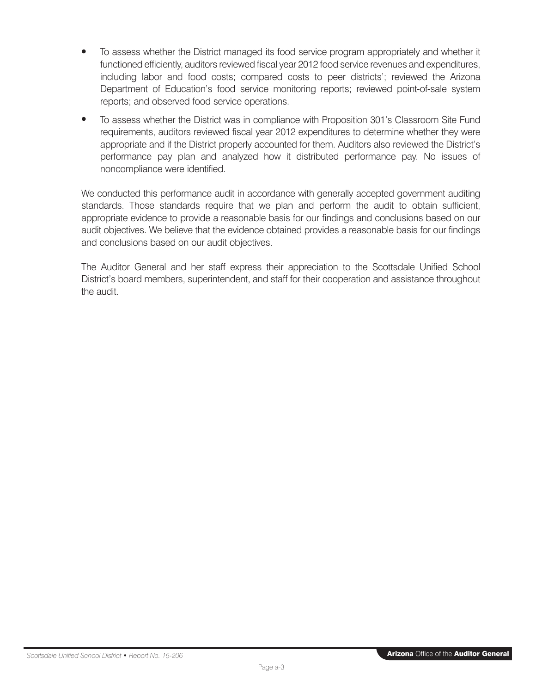- To assess whether the District managed its food service program appropriately and whether it functioned efficiently, auditors reviewed fiscal year 2012 food service revenues and expenditures, including labor and food costs; compared costs to peer districts'; reviewed the Arizona Department of Education's food service monitoring reports; reviewed point-of-sale system reports; and observed food service operations.
- To assess whether the District was in compliance with Proposition 301's Classroom Site Fund requirements, auditors reviewed fiscal year 2012 expenditures to determine whether they were appropriate and if the District properly accounted for them. Auditors also reviewed the District's performance pay plan and analyzed how it distributed performance pay. No issues of noncompliance were identified.

We conducted this performance audit in accordance with generally accepted government auditing standards. Those standards require that we plan and perform the audit to obtain sufficient, appropriate evidence to provide a reasonable basis for our findings and conclusions based on our audit objectives. We believe that the evidence obtained provides a reasonable basis for our findings and conclusions based on our audit objectives.

The Auditor General and her staff express their appreciation to the Scottsdale Unified School District's board members, superintendent, and staff for their cooperation and assistance throughout the audit.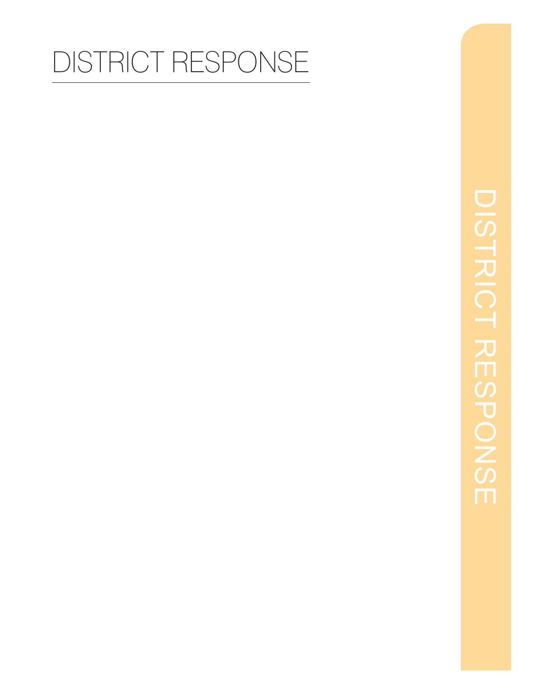# DISTRICT RESPONSE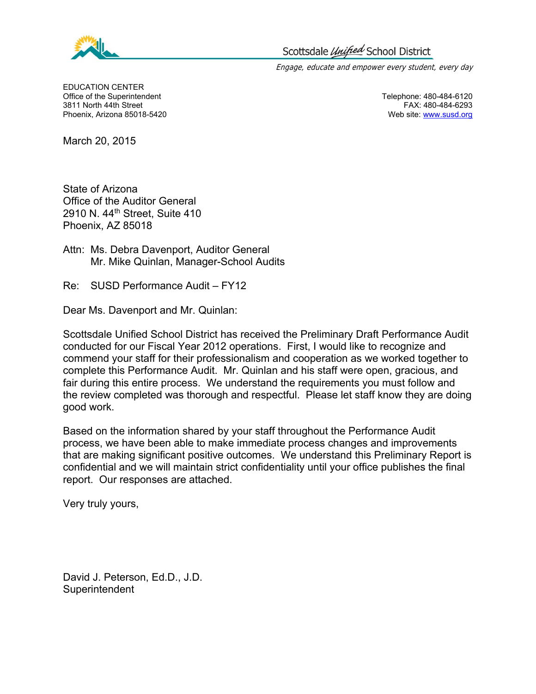<span id="page-21-0"></span>

Engage, educate and empower every student, every day

 EDUCATION CENTER Office of the Superintendent **Telephone: 480-484-6120** Controller Controller Telephone: 480-484-6120 3811 North 44th Street FAX: 480-484-6293 Phoenix, Arizona 85018-5420 **Web site:** www.susd.org

March 20, 2015

State of Arizona Office of the Auditor General 2910 N. 44th Street, Suite 410 Phoenix, AZ 85018

Attn: Ms. Debra Davenport, Auditor General Mr. Mike Quinlan, Manager-School Audits

Re: SUSD Performance Audit – FY12

Dear Ms. Davenport and Mr. Quinlan:

Scottsdale Unified School District has received the Preliminary Draft Performance Audit conducted for our Fiscal Year 2012 operations. First, I would like to recognize and commend your staff for their professionalism and cooperation as we worked together to complete this Performance Audit. Mr. Quinlan and his staff were open, gracious, and fair during this entire process. We understand the requirements you must follow and the review completed was thorough and respectful. Please let staff know they are doing good work.

Based on the information shared by your staff throughout the Performance Audit process, we have been able to make immediate process changes and improvements that are making significant positive outcomes. We understand this Preliminary Report is confidential and we will maintain strict confidentiality until your office publishes the final report. Our responses are attached.

Very truly yours,

David J. Peterson, Ed.D., J.D. **Superintendent**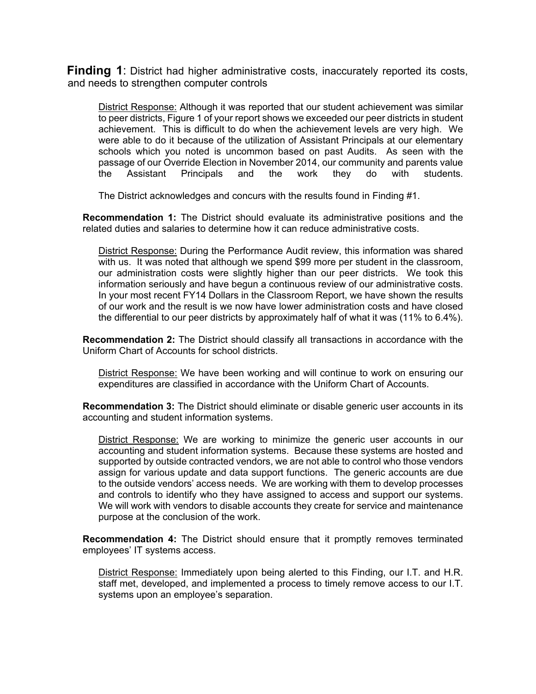**Finding 1**: District had higher administrative costs, inaccurately reported its costs, and needs to strengthen computer controls

District Response: Although it was reported that our student achievement was similar to peer districts, Figure 1 of your report shows we exceeded our peer districts in student achievement. This is difficult to do when the achievement levels are very high. We were able to do it because of the utilization of Assistant Principals at our elementary schools which you noted is uncommon based on past Audits. As seen with the passage of our Override Election in November 2014, our community and parents value the Assistant Principals and the work they do with students.

The District acknowledges and concurs with the results found in Finding #1.

**Recommendation 1:** The District should evaluate its administrative positions and the related duties and salaries to determine how it can reduce administrative costs.

District Response: During the Performance Audit review, this information was shared with us. It was noted that although we spend \$99 more per student in the classroom, our administration costs were slightly higher than our peer districts. We took this information seriously and have begun a continuous review of our administrative costs. In your most recent FY14 Dollars in the Classroom Report, we have shown the results of our work and the result is we now have lower administration costs and have closed the differential to our peer districts by approximately half of what it was (11% to 6.4%).

**Recommendation 2:** The District should classify all transactions in accordance with the Uniform Chart of Accounts for school districts.

District Response: We have been working and will continue to work on ensuring our expenditures are classified in accordance with the Uniform Chart of Accounts.

**Recommendation 3:** The District should eliminate or disable generic user accounts in its accounting and student information systems.

District Response: We are working to minimize the generic user accounts in our accounting and student information systems. Because these systems are hosted and supported by outside contracted vendors, we are not able to control who those vendors assign for various update and data support functions. The generic accounts are due to the outside vendors' access needs. We are working with them to develop processes and controls to identify who they have assigned to access and support our systems. We will work with vendors to disable accounts they create for service and maintenance purpose at the conclusion of the work.

**Recommendation 4:** The District should ensure that it promptly removes terminated employees' IT systems access.

District Response: Immediately upon being alerted to this Finding, our I.T. and H.R. staff met, developed, and implemented a process to timely remove access to our I.T. systems upon an employee's separation.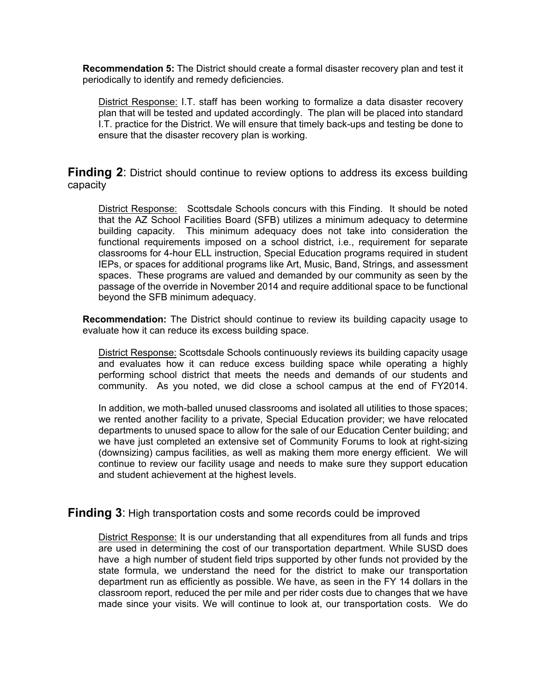**Recommendation 5:** The District should create a formal disaster recovery plan and test it periodically to identify and remedy deficiencies.

District Response: I.T. staff has been working to formalize a data disaster recovery plan that will be tested and updated accordingly. The plan will be placed into standard I.T. practice for the District. We will ensure that timely back-ups and testing be done to ensure that the disaster recovery plan is working.

**Finding 2**: District should continue to review options to address its excess building capacity

District Response: Scottsdale Schools concurs with this Finding. It should be noted that the AZ School Facilities Board (SFB) utilizes a minimum adequacy to determine building capacity. This minimum adequacy does not take into consideration the functional requirements imposed on a school district, i.e., requirement for separate classrooms for 4-hour ELL instruction, Special Education programs required in student IEPs, or spaces for additional programs like Art, Music, Band, Strings, and assessment spaces. These programs are valued and demanded by our community as seen by the passage of the override in November 2014 and require additional space to be functional beyond the SFB minimum adequacy.

**Recommendation:** The District should continue to review its building capacity usage to evaluate how it can reduce its excess building space.

District Response: Scottsdale Schools continuously reviews its building capacity usage and evaluates how it can reduce excess building space while operating a highly performing school district that meets the needs and demands of our students and community. As you noted, we did close a school campus at the end of FY2014.

In addition, we moth-balled unused classrooms and isolated all utilities to those spaces; we rented another facility to a private, Special Education provider; we have relocated departments to unused space to allow for the sale of our Education Center building; and we have just completed an extensive set of Community Forums to look at right-sizing (downsizing) campus facilities, as well as making them more energy efficient. We will continue to review our facility usage and needs to make sure they support education and student achievement at the highest levels.

**Finding 3**: High transportation costs and some records could be improved

District Response: It is our understanding that all expenditures from all funds and trips are used in determining the cost of our transportation department. While SUSD does have a high number of student field trips supported by other funds not provided by the state formula, we understand the need for the district to make our transportation department run as efficiently as possible. We have, as seen in the FY 14 dollars in the classroom report, reduced the per mile and per rider costs due to changes that we have made since your visits. We will continue to look at, our transportation costs. We do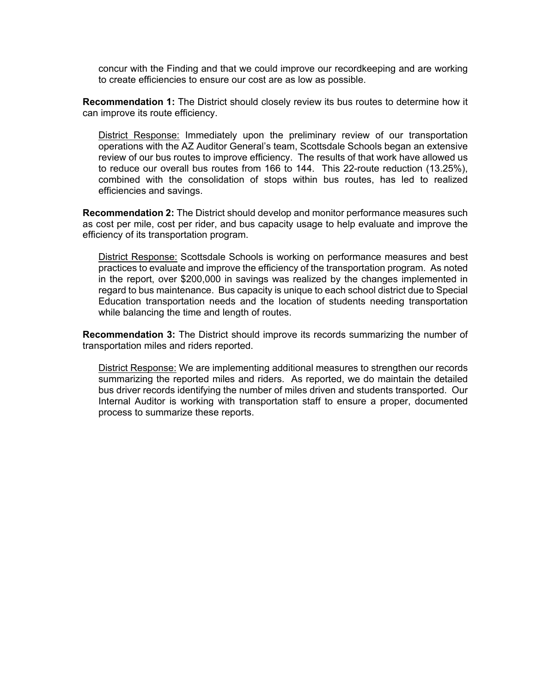concur with the Finding and that we could improve our recordkeeping and are working to create efficiencies to ensure our cost are as low as possible.

**Recommendation 1:** The District should closely review its bus routes to determine how it can improve its route efficiency.

District Response: Immediately upon the preliminary review of our transportation operations with the AZ Auditor General's team, Scottsdale Schools began an extensive review of our bus routes to improve efficiency. The results of that work have allowed us to reduce our overall bus routes from 166 to 144. This 22-route reduction (13.25%), combined with the consolidation of stops within bus routes, has led to realized efficiencies and savings.

**Recommendation 2:** The District should develop and monitor performance measures such as cost per mile, cost per rider, and bus capacity usage to help evaluate and improve the efficiency of its transportation program.

District Response: Scottsdale Schools is working on performance measures and best practices to evaluate and improve the efficiency of the transportation program. As noted in the report, over \$200,000 in savings was realized by the changes implemented in regard to bus maintenance. Bus capacity is unique to each school district due to Special Education transportation needs and the location of students needing transportation while balancing the time and length of routes.

**Recommendation 3:** The District should improve its records summarizing the number of transportation miles and riders reported.

District Response: We are implementing additional measures to strengthen our records summarizing the reported miles and riders. As reported, we do maintain the detailed bus driver records identifying the number of miles driven and students transported. Our Internal Auditor is working with transportation staff to ensure a proper, documented process to summarize these reports.